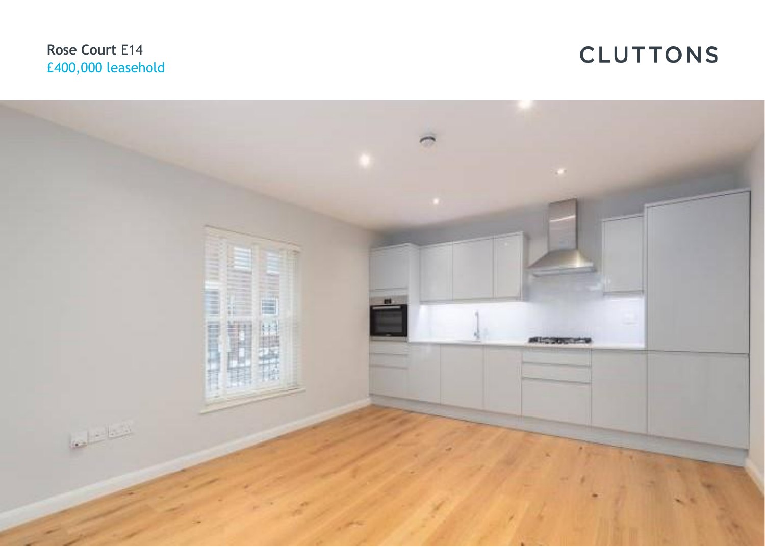**Rose Court** E14 £400,000 leasehold



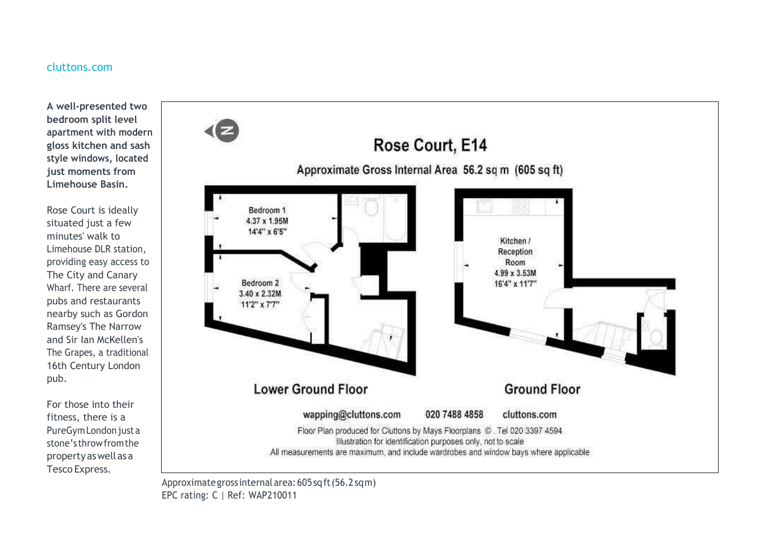## cluttons.com

**A well-presented two bedroom split level apartment with modern gloss kitchen and sash style windows, located just moments from Limehouse Basin.**

Rose Court is ideally situated just a few minutes' walk to Limehouse DLR station, providing easy access to The City and Canary Wharf. There are several pubs and restaurants nearby such as Gordon Ramsey's The Narrow and Sir Ian McKellen's The Grapes, a traditional 16th Century London pub.

For those into their fitness, there is a PureGym London just a stone's throw from the propertyaswellasa Tesco Express.



Approximategross internalarea:605 sqft(56.2 sqm) EPC rating: C | Ref: WAP210011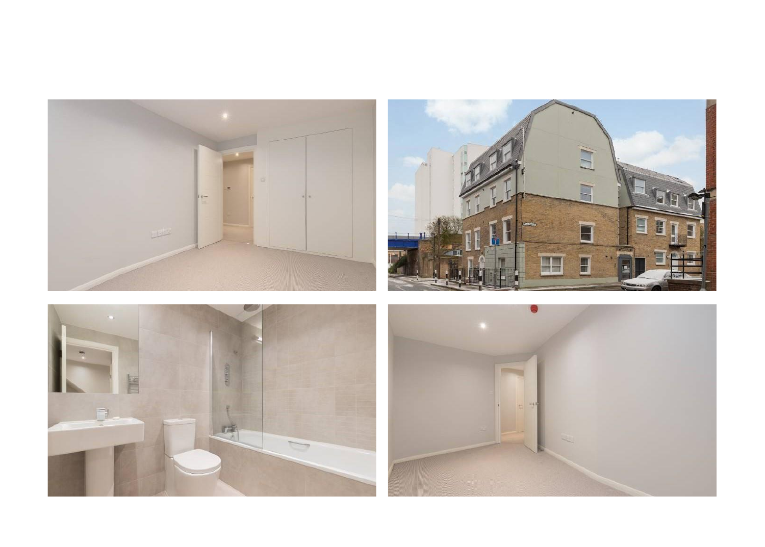